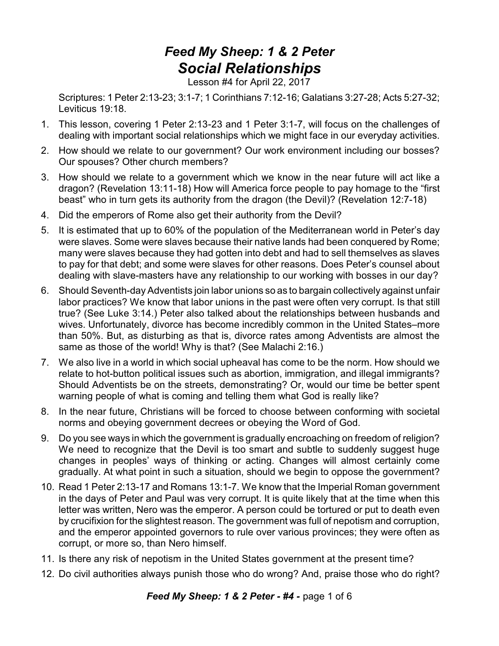## *Feed My Sheep: 1 & 2 Peter Social Relationships*

Lesson #4 for April 22, 2017

Scriptures: 1 Peter 2:13-23; 3:1-7; 1 Corinthians 7:12-16; Galatians 3:27-28; Acts 5:27-32; Leviticus 19:18.

- 1. This lesson, covering 1 Peter 2:13-23 and 1 Peter 3:1-7, will focus on the challenges of dealing with important social relationships which we might face in our everyday activities.
- 2. How should we relate to our government? Our work environment including our bosses? Our spouses? Other church members?
- 3. How should we relate to a government which we know in the near future will act like a dragon? (Revelation 13:11-18) How will America force people to pay homage to the "first beast" who in turn gets its authority from the dragon (the Devil)? (Revelation 12:7-18)
- 4. Did the emperors of Rome also get their authority from the Devil?
- 5. It is estimated that up to 60% of the population of the Mediterranean world in Peter's day were slaves. Some were slaves because their native lands had been conquered by Rome; many were slaves because they had gotten into debt and had to sell themselves as slaves to pay for that debt; and some were slaves for other reasons. Does Peter's counsel about dealing with slave-masters have any relationship to our working with bosses in our day?
- 6. Should Seventh-day Adventists join labor unions so as to bargain collectively against unfair labor practices? We know that labor unions in the past were often very corrupt. Is that still true? (See Luke 3:14.) Peter also talked about the relationships between husbands and wives. Unfortunately, divorce has become incredibly common in the United States–more than 50%. But, as disturbing as that is, divorce rates among Adventists are almost the same as those of the world! Why is that? (See Malachi 2:16.)
- 7. We also live in a world in which social upheaval has come to be the norm. How should we relate to hot-button political issues such as abortion, immigration, and illegal immigrants? Should Adventists be on the streets, demonstrating? Or, would our time be better spent warning people of what is coming and telling them what God is really like?
- 8. In the near future, Christians will be forced to choose between conforming with societal norms and obeying government decrees or obeying the Word of God.
- 9. Do you see ways in which the government is gradually encroaching on freedom of religion? We need to recognize that the Devil is too smart and subtle to suddenly suggest huge changes in peoples' ways of thinking or acting. Changes will almost certainly come gradually. At what point in such a situation, should we begin to oppose the government?
- 10. Read 1 Peter 2:13-17 and Romans 13:1-7. We know that the Imperial Roman government in the days of Peter and Paul was very corrupt. It is quite likely that at the time when this letter was written, Nero was the emperor. A person could be tortured or put to death even by crucifixion for the slightest reason. The government was full of nepotism and corruption, and the emperor appointed governors to rule over various provinces; they were often as corrupt, or more so, than Nero himself.
- 11. Is there any risk of nepotism in the United States government at the present time?
- 12. Do civil authorities always punish those who do wrong? And, praise those who do right?

*Feed My Sheep: 1 & 2 Peter - #4 -* page 1 of 6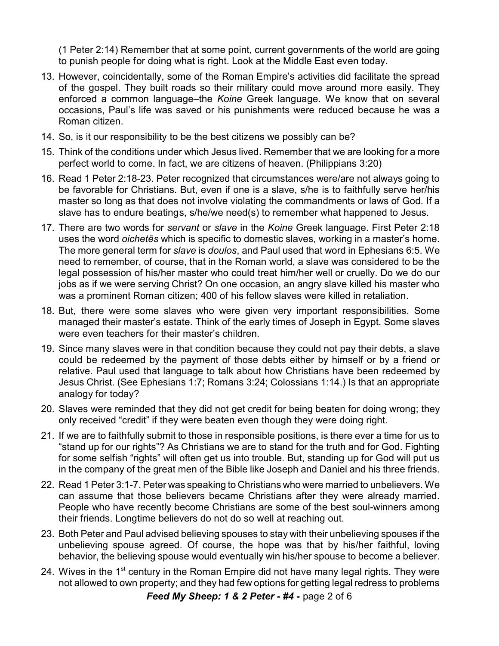(1 Peter 2:14) Remember that at some point, current governments of the world are going to punish people for doing what is right. Look at the Middle East even today.

- 13. However, coincidentally, some of the Roman Empire's activities did facilitate the spread of the gospel. They built roads so their military could move around more easily. They enforced a common language–the *Koine* Greek language. We know that on several occasions, Paul's life was saved or his punishments were reduced because he was a Roman citizen.
- 14. So, is it our responsibility to be the best citizens we possibly can be?
- 15. Think of the conditions under which Jesus lived. Remember that we are looking for a more perfect world to come. In fact, we are citizens of heaven. (Philippians 3:20)
- 16. Read 1 Peter 2:18-23. Peter recognized that circumstances were/are not always going to be favorable for Christians. But, even if one is a slave, s/he is to faithfully serve her/his master so long as that does not involve violating the commandments or laws of God. If a slave has to endure beatings, s/he/we need(s) to remember what happened to Jesus.
- 17. There are two words for *servant* or *slave* in the *Koine* Greek language. First Peter 2:18 uses the word *oichetçs* which is specific to domestic slaves, working in a master's home. The more general term for *slave* is *doulos*, and Paul used that word in Ephesians 6:5. We need to remember, of course, that in the Roman world, a slave was considered to be the legal possession of his/her master who could treat him/her well or cruelly. Do we do our jobs as if we were serving Christ? On one occasion, an angry slave killed his master who was a prominent Roman citizen; 400 of his fellow slaves were killed in retaliation.
- 18. But, there were some slaves who were given very important responsibilities. Some managed their master's estate. Think of the early times of Joseph in Egypt. Some slaves were even teachers for their master's children.
- 19. Since many slaves were in that condition because they could not pay their debts, a slave could be redeemed by the payment of those debts either by himself or by a friend or relative. Paul used that language to talk about how Christians have been redeemed by Jesus Christ. (See Ephesians 1:7; Romans 3:24; Colossians 1:14.) Is that an appropriate analogy for today?
- 20. Slaves were reminded that they did not get credit for being beaten for doing wrong; they only received "credit" if they were beaten even though they were doing right.
- 21. If we are to faithfully submit to those in responsible positions, is there ever a time for us to "stand up for our rights"? As Christians we are to stand for the truth and for God. Fighting for some selfish "rights" will often get us into trouble. But, standing up for God will put us in the company of the great men of the Bible like Joseph and Daniel and his three friends.
- 22. Read 1 Peter 3:1-7. Peter was speaking to Christians who were married to unbelievers. We can assume that those believers became Christians after they were already married. People who have recently become Christians are some of the best soul-winners among their friends. Longtime believers do not do so well at reaching out.
- 23. Both Peter and Paul advised believing spouses to stay with their unbelieving spouses if the unbelieving spouse agreed. Of course, the hope was that by his/her faithful, loving behavior, the believing spouse would eventually win his/her spouse to become a believer.
- 24. Wives in the 1<sup>st</sup> century in the Roman Empire did not have many legal rights. They were not allowed to own property; and they had few options for getting legal redress to problems

*Feed My Sheep: 1 & 2 Peter - #4 -* page 2 of 6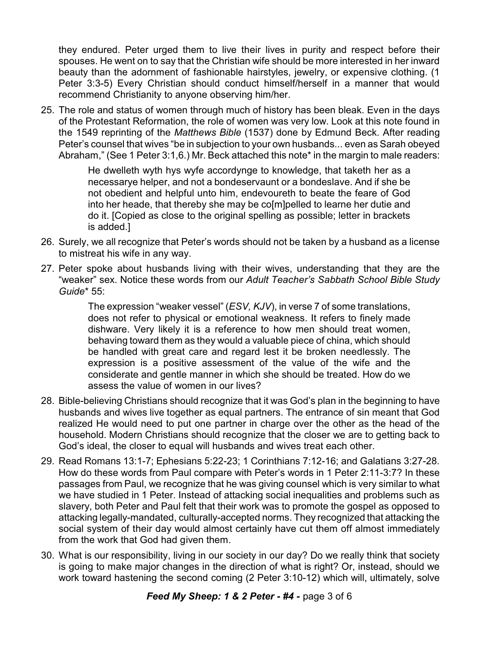they endured. Peter urged them to live their lives in purity and respect before their spouses. He went on to say that the Christian wife should be more interested in her inward beauty than the adornment of fashionable hairstyles, jewelry, or expensive clothing. (1 Peter 3:3-5) Every Christian should conduct himself/herself in a manner that would recommend Christianity to anyone observing him/her.

25. The role and status of women through much of history has been bleak. Even in the days of the Protestant Reformation, the role of women was very low. Look at this note found in the 1549 reprinting of the *Matthews Bible* (1537) done by Edmund Beck. After reading Peter's counsel that wives "be in subjection to your own husbands... even as Sarah obeyed Abraham," (See 1 Peter 3:1,6.) Mr. Beck attached this note\* in the margin to male readers:

> He dwelleth wyth hys wyfe accordynge to knowledge, that taketh her as a necessarye helper, and not a bondeservaunt or a bondeslave. And if she be not obedient and helpful unto him, endevoureth to beate the feare of God into her heade, that thereby she may be co[m]pelled to learne her dutie and do it. [Copied as close to the original spelling as possible; letter in brackets is added.]

- 26. Surely, we all recognize that Peter's words should not be taken by a husband as a license to mistreat his wife in any way.
- 27. Peter spoke about husbands living with their wives, understanding that they are the "weaker" sex. Notice these words from our *Adult Teacher's Sabbath School Bible Study Guide*\* 55:

The expression "weaker vessel" (*ESV, KJV*), in verse 7 of some translations, does not refer to physical or emotional weakness. It refers to finely made dishware. Very likely it is a reference to how men should treat women, behaving toward them as they would a valuable piece of china, which should be handled with great care and regard lest it be broken needlessly. The expression is a positive assessment of the value of the wife and the considerate and gentle manner in which she should be treated. How do we assess the value of women in our lives?

- 28. Bible-believing Christians should recognize that it was God's plan in the beginning to have husbands and wives live together as equal partners. The entrance of sin meant that God realized He would need to put one partner in charge over the other as the head of the household. Modern Christians should recognize that the closer we are to getting back to God's ideal, the closer to equal will husbands and wives treat each other.
- 29. Read Romans 13:1-7; Ephesians 5:22-23; 1 Corinthians 7:12-16; and Galatians 3:27-28. How do these words from Paul compare with Peter's words in 1 Peter 2:11-3:7? In these passages from Paul, we recognize that he was giving counsel which is very similar to what we have studied in 1 Peter. Instead of attacking social inequalities and problems such as slavery, both Peter and Paul felt that their work was to promote the gospel as opposed to attacking legally-mandated, culturally-accepted norms. They recognized that attacking the social system of their day would almost certainly have cut them off almost immediately from the work that God had given them.
- 30. What is our responsibility, living in our society in our day? Do we really think that society is going to make major changes in the direction of what is right? Or, instead, should we work toward hastening the second coming (2 Peter 3:10-12) which will, ultimately, solve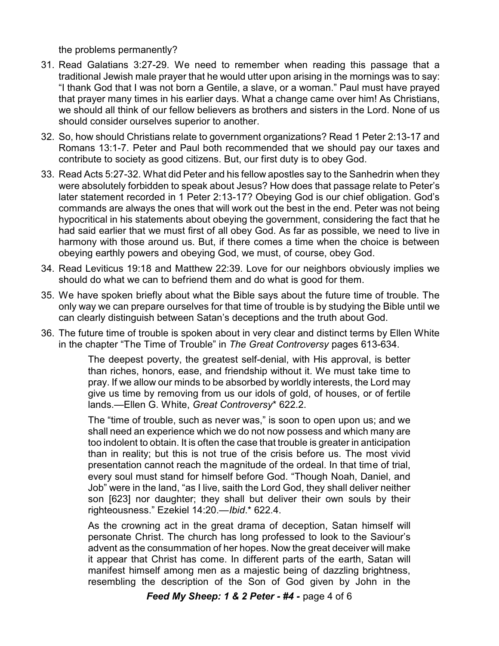the problems permanently?

- 31. Read Galatians 3:27-29. We need to remember when reading this passage that a traditional Jewish male prayer that he would utter upon arising in the mornings was to say: "I thank God that I was not born a Gentile, a slave, or a woman." Paul must have prayed that prayer many times in his earlier days. What a change came over him! As Christians, we should all think of our fellow believers as brothers and sisters in the Lord. None of us should consider ourselves superior to another.
- 32. So, how should Christians relate to government organizations? Read 1 Peter 2:13-17 and Romans 13:1-7. Peter and Paul both recommended that we should pay our taxes and contribute to society as good citizens. But, our first duty is to obey God.
- 33. Read Acts 5:27-32. What did Peter and his fellow apostles say to the Sanhedrin when they were absolutely forbidden to speak about Jesus? How does that passage relate to Peter's later statement recorded in 1 Peter 2:13-17? Obeying God is our chief obligation. God's commands are always the ones that will work out the best in the end. Peter was not being hypocritical in his statements about obeying the government, considering the fact that he had said earlier that we must first of all obey God. As far as possible, we need to live in harmony with those around us. But, if there comes a time when the choice is between obeying earthly powers and obeying God, we must, of course, obey God.
- 34. Read Leviticus 19:18 and Matthew 22:39. Love for our neighbors obviously implies we should do what we can to befriend them and do what is good for them.
- 35. We have spoken briefly about what the Bible says about the future time of trouble. The only way we can prepare ourselves for that time of trouble is by studying the Bible until we can clearly distinguish between Satan's deceptions and the truth about God.
- 36. The future time of trouble is spoken about in very clear and distinct terms by Ellen White in the chapter "The Time of Trouble" in *The Great Controversy* pages 613-634.

The deepest poverty, the greatest self-denial, with His approval, is better than riches, honors, ease, and friendship without it. We must take time to pray. If we allow our minds to be absorbed by worldly interests, the Lord may give us time by removing from us our idols of gold, of houses, or of fertile lands.—Ellen G. White, *Great Controversy*\* 622.2.

The "time of trouble, such as never was," is soon to open upon us; and we shall need an experience which we do not now possess and which many are too indolent to obtain. It is often the case that trouble is greater in anticipation than in reality; but this is not true of the crisis before us. The most vivid presentation cannot reach the magnitude of the ordeal. In that time of trial, every soul must stand for himself before God. "Though Noah, Daniel, and Job" were in the land, "as I live, saith the Lord God, they shall deliver neither son [623] nor daughter; they shall but deliver their own souls by their righteousness." Ezekiel 14:20.—*Ibid*.\* 622.4.

As the crowning act in the great drama of deception, Satan himself will personate Christ. The church has long professed to look to the Saviour's advent as the consummation of her hopes. Now the great deceiver will make it appear that Christ has come. In different parts of the earth, Satan will manifest himself among men as a majestic being of dazzling brightness, resembling the description of the Son of God given by John in the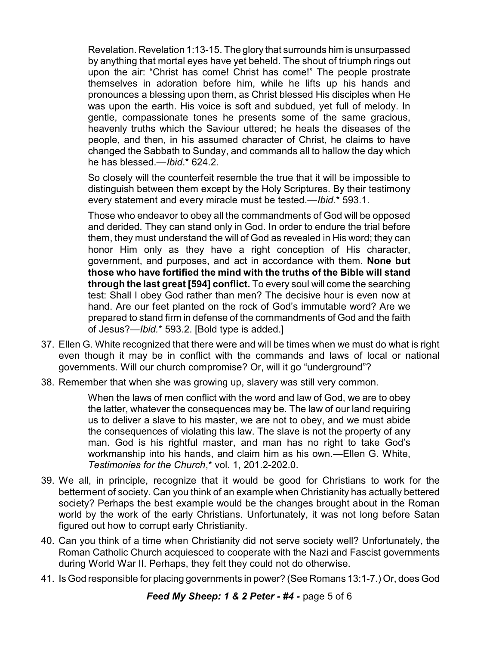Revelation. Revelation 1:13-15. The glory that surrounds him is unsurpassed by anything that mortal eyes have yet beheld. The shout of triumph rings out upon the air: "Christ has come! Christ has come!" The people prostrate themselves in adoration before him, while he lifts up his hands and pronounces a blessing upon them, as Christ blessed His disciples when He was upon the earth. His voice is soft and subdued, yet full of melody. In gentle, compassionate tones he presents some of the same gracious, heavenly truths which the Saviour uttered; he heals the diseases of the people, and then, in his assumed character of Christ, he claims to have changed the Sabbath to Sunday, and commands all to hallow the day which he has blessed.—*Ibid*.\* 624.2.

So closely will the counterfeit resemble the true that it will be impossible to distinguish between them except by the Holy Scriptures. By their testimony every statement and every miracle must be tested.—*Ibid.*\* 593.1.

Those who endeavor to obey all the commandments of God will be opposed and derided. They can stand only in God. In order to endure the trial before them, they must understand the will of God as revealed in His word; they can honor Him only as they have a right conception of His character, government, and purposes, and act in accordance with them. **None but those who have fortified the mind with the truths of the Bible will stand through the last great [594] conflict.** To every soul will come the searching test: Shall I obey God rather than men? The decisive hour is even now at hand. Are our feet planted on the rock of God's immutable word? Are we prepared to stand firm in defense of the commandments of God and the faith of Jesus?—*Ibid.*\* 593.2. [Bold type is added.]

- 37. Ellen G. White recognized that there were and will be times when we must do what is right even though it may be in conflict with the commands and laws of local or national governments. Will our church compromise? Or, will it go "underground"?
- 38. Remember that when she was growing up, slavery was still very common.

When the laws of men conflict with the word and law of God, we are to obey the latter, whatever the consequences may be. The law of our land requiring us to deliver a slave to his master, we are not to obey, and we must abide the consequences of violating this law. The slave is not the property of any man. God is his rightful master, and man has no right to take God's workmanship into his hands, and claim him as his own.—Ellen G. White, *Testimonies for the Church*,\* vol. 1, 201.2-202.0.

- 39. We all, in principle, recognize that it would be good for Christians to work for the betterment of society. Can you think of an example when Christianity has actually bettered society? Perhaps the best example would be the changes brought about in the Roman world by the work of the early Christians. Unfortunately, it was not long before Satan figured out how to corrupt early Christianity.
- 40. Can you think of a time when Christianity did not serve society well? Unfortunately, the Roman Catholic Church acquiesced to cooperate with the Nazi and Fascist governments during World War II. Perhaps, they felt they could not do otherwise.
- 41. Is God responsible for placing governments in power? (See Romans 13:1-7.) Or, does God